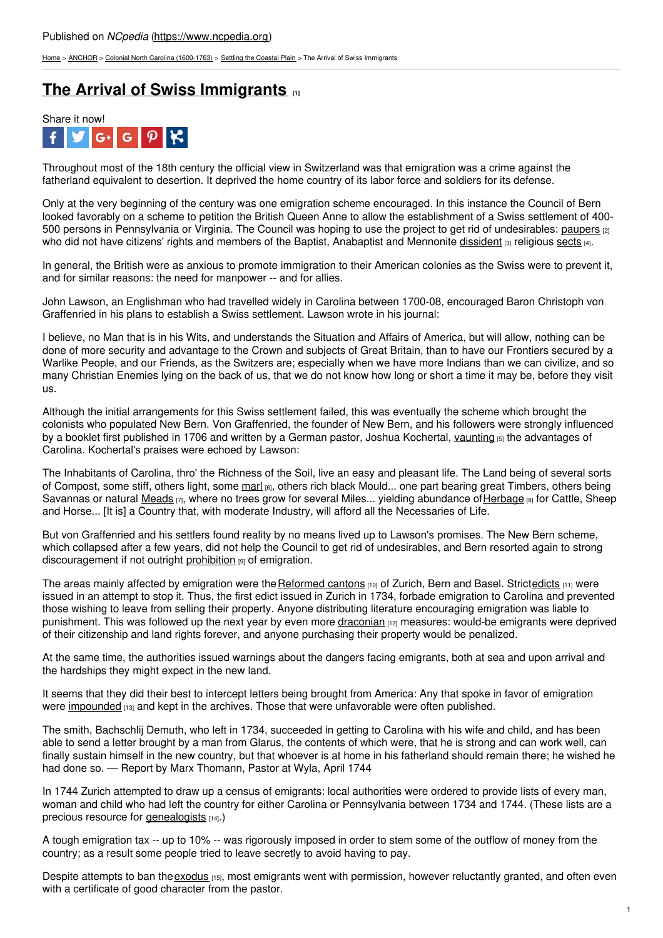[Home](https://www.ncpedia.org/) > [ANCHOR](https://www.ncpedia.org/anchor/anchor) > Colonial North Carolina [\(1600-1763\)](https://www.ncpedia.org/anchor/colonial-north-carolina-1600) > Settling the [Coastal](https://www.ncpedia.org/anchor/settling-coastal-plain) Plain > The Arrival of Swiss Immigrants

## **The Arrival of Swiss [Immigrants](https://www.ncpedia.org/anchor/arrival-swiss-immigrants) [1]**



Throughout most of the 18th century the official view in Switzerland was that emigration was a crime against the fatherland equivalent to desertion. It deprived the home country of its labor force and soldiers for its defense.

Only at the very beginning of the century was one emigration scheme encouraged. In this instance the Council of Bern looked favorably on a scheme to petition the British Queen Anne to allow the establishment of a Swiss settlement of 400- 500 persons in Pennsylvania or Virginia. The Council was hoping to use the project to get rid of undesirables: [paupers](https://www.ncpedia.org/glossary/pauper) [2] who did not have citizens' rights and members of the Baptist, Anabaptist and Mennonite [dissident](https://www.ncpedia.org/glossary/dissident) [3] religious [sects](https://www.ncpedia.org/glossary/sect) [4].

In general, the British were as anxious to promote immigration to their American colonies as the Swiss were to prevent it, and for similar reasons: the need for manpower -- and for allies.

John Lawson, an Englishman who had [travelled](http://www.social9.com) widely in Carolina between 1700-08, encouraged Baron Christoph von Graffenried in his plans to establish a Swiss settlement. Lawson wrote in his journal:

I believe, no Man that is in his Wits, and understands the Situation and Affairs of America, but will allow, nothing can be done of more security and advantage to the Crown and subjects of Great Britain, than to have our Frontiers secured by a Warlike People, and our Friends, as the Switzers are; especially when we have more Indians than we can civilize, and so many Christian Enemies lying on the back of us, that we do not know how long or short a time it may be, before they visit us.

Although the initial arrangements for this Swiss settlement failed, this was eventually the scheme which brought the colonists who populated New Bern. Von Graffenried, the founder of New Bern, and his followers were strongly influenced by a booklet first published in 1706 and written by a German pastor, Joshua Kochertal, [vaunting](https://www.ncpedia.org/glossary/vaunting) [5] the advantages of Carolina. Kochertal's praises were echoed by Lawson:

The Inhabitants of Carolina, thro' the Richness of the Soil, live an easy and pleasant life. The Land being of several sorts of Compost, some stiff, others light, some [marl](https://www.ncpedia.org/glossary/marl) [6], others rich black Mould... one part bearing great Timbers, others being Savannas or natural [Meads](https://www.ncpedia.org/glossary/meads)  $_{[7]}$ , where no trees grow for several Miles... yielding abundance of [Herbage](https://www.ncpedia.org/glossary/herbage) [8] for Cattle, Sheep and Horse... [It is] a Country that, with moderate Industry, will afford all the Necessaries of Life.

But von Graffenried and his settlers found reality by no means lived up to Lawson's promises. The New Bern scheme, which collapsed after a few years, did not help the Council to get rid of undesirables, and Bern resorted again to strong discouragement if not outright [prohibition](https://www.ncpedia.org/glossary/prohibition) [9] of emigration.

The areas mainly affected by emigration were the [Reformed](https://www.ncpedia.org/glossary/reformed-cantons) cantons [10] of Zurich, Bern and Basel. Strict[edicts](https://www.ncpedia.org/glossary/edict) [11] were issued in an attempt to stop it. Thus, the first edict issued in Zurich in 1734, forbade emigration to Carolina and prevented those wishing to leave from selling their property. Anyone distributing literature encouraging emigration was liable to punishment. This was followed up the next year by even more [draconian](https://www.ncpedia.org/glossary/draconian) [12] measures: would-be emigrants were deprived of their citizenship and land rights forever, and anyone purchasing their property would be penalized.

At the same time, the authorities issued warnings about the dangers facing emigrants, both at sea and upon arrival and the hardships they might expect in the new land.

It seems that they did their best to intercept letters being brought from America: Any that spoke in favor of emigration were [impounded](https://www.ncpedia.org/glossary/impound)  $_{[13]}$  and kept in the archives. Those that were unfavorable were often published.

The smith, Bachschlij Demuth, who left in 1734, succeeded in getting to Carolina with his wife and child, and has been able to send a letter brought by a man from Glarus, the contents of which were, that he is strong and can work well, can finally sustain himself in the new country, but that whoever is at home in his fatherland should remain there; he wished he had done so. — Report by Marx Thomann, Pastor at Wyla, April 1744

In 1744 Zurich attempted to draw up a census of emigrants: local authorities were ordered to provide lists of every man, woman and child who had left the country for either Carolina or Pennsylvania between 1734 and 1744. (These lists are a precious resource for [genealogists](https://www.ncpedia.org/glossary/genealogist) [14].)

A tough emigration tax -- up to 10% -- was rigorously imposed in order to stem some of the outflow of money from the country; as a result some people tried to leave secretly to avoid having to pay.

Despite attempts to ban the [exodus](https://www.ncpedia.org/glossary/exodus) [15], most emigrants went with permission, however reluctantly granted, and often even with a certificate of good character from the pastor.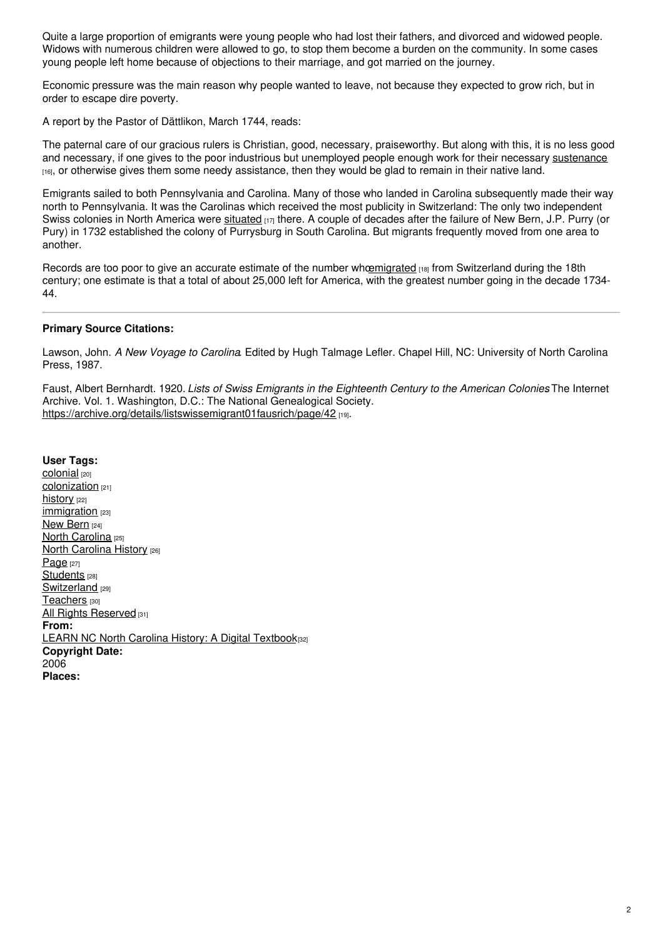Quite a large proportion of emigrants were young people who had lost their fathers, and divorced and widowed people. Widows with numerous children were allowed to go, to stop them become a burden on the community. In some cases young people left home because of objections to their marriage, and got married on the journey.

Economic pressure was the main reason why people wanted to leave, not because they expected to grow rich, but in order to escape dire poverty.

A report by the Pastor of Dättlikon, March 1744, reads:

The paternal care of our gracious rulers is Christian, good, necessary, praiseworthy. But along with this, it is no less good and necessary, if one gives to the poor industrious but unemployed people enough work for their necessary [sustenance](https://www.ncpedia.org/glossary/sustenance) [16], or otherwise gives them some needy assistance, then they would be glad to remain in their native land.

Emigrants sailed to both Pennsylvania and Carolina. Many of those who landed in Carolina subsequently made their way north to Pennsylvania. It was the Carolinas which received the most publicity in Switzerland: The only two independent Swiss colonies in North America were [situated](https://www.ncpedia.org/glossary/situated)  $_{117}$  there. A couple of decades after the failure of New Bern, J.P. Purry (or Pury) in 1732 established the colony of Purrysburg in South Carolina. But migrants frequently moved from one area to another.

Records are too poor to give an accurate estimate of the number wh[oemigrated](https://www.ncpedia.org/glossary/emigrate) [18] from Switzerland during the 18th century; one estimate is that a total of about 25,000 left for America, with the greatest number going in the decade 1734- 44.

## **Primary Source Citations:**

Lawson, John. *A New Voyage to Carolina*. Edited by Hugh Talmage Lefler. Chapel Hill, NC: University of North Carolina Press, 1987.

Faust, Albert Bernhardt. 1920. *Lists of Swiss Emigrants in the Eighteenth Century to the American Colonies*. The Internet Archive. Vol. 1. Washington, D.C.: The National Genealogical Society. <https://archive.org/details/listswissemigrant01fausrich/page/42> [19].

**User Tags:** [colonial](https://www.ncpedia.org/category/user-tags/colonial) [20] [colonization](https://www.ncpedia.org/category/user-tags/colonization) [21] [history](https://www.ncpedia.org/category/user-tags/history) [22] [immigration](https://www.ncpedia.org/category/user-tags/immigration) [23] New [Bern](https://www.ncpedia.org/category/user-tags/new-bern) [24] North [Carolina](https://www.ncpedia.org/category/user-tags/north-carolina-5) [25] **North [Carolina](https://www.ncpedia.org/category/user-tags/north-carolina-6) History [26]** [Page](https://www.ncpedia.org/category/user-tags/page) [27] [Students](https://www.ncpedia.org/category/user-tags/students) [28] [Switzerland](https://www.ncpedia.org/category/user-tags/switzerland) [29] [Teachers](https://www.ncpedia.org/category/user-tags/teachers) [30] All Rights [Reserved](https://www.ncpedia.org/category/user-tags/all-rights) [31] **From:** LEARN NC North Carolina History: A Digital [Textbook](https://www.ncpedia.org/category/entry-source/learn-nc)[32] **Copyright Date:** 2006 **Places:**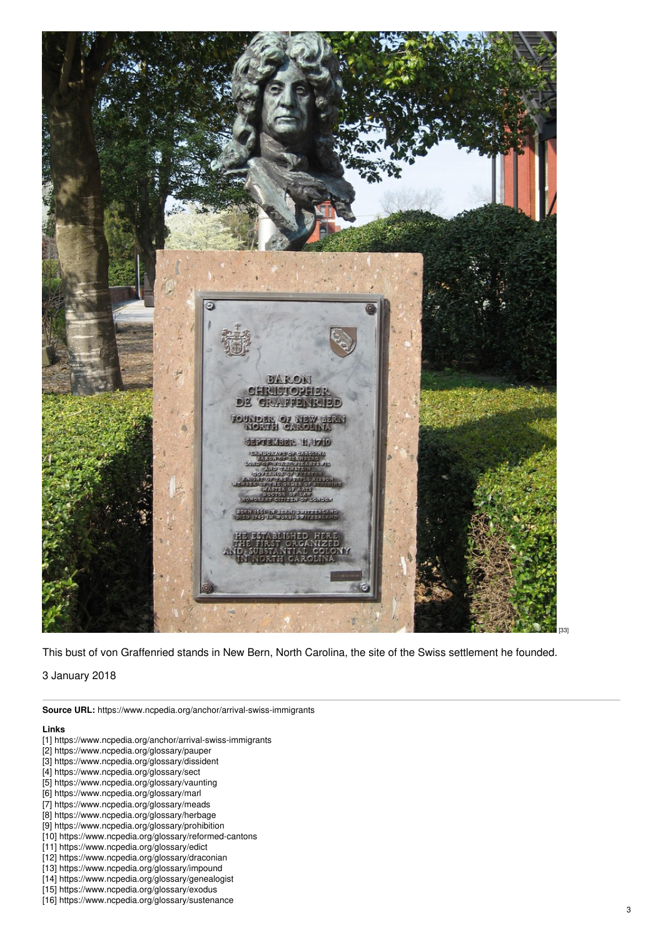

This bust of von Graffenried stands in New Bern, North Carolina, the site of the Swiss settlement he founded.

3 January 2018

**Source URL:** https://www.ncpedia.org/anchor/arrival-swiss-immigrants

## **Links**

- [1] https://www.ncpedia.org/anchor/arrival-swiss-immigrants
- [2] https://www.ncpedia.org/glossary/pauper
- [3] https://www.ncpedia.org/glossary/dissident
- [4] https://www.ncpedia.org/glossary/sect
- [5] https://www.ncpedia.org/glossary/vaunting
- [6] https://www.ncpedia.org/glossary/marl
- [7] https://www.ncpedia.org/glossary/meads
- [8] https://www.ncpedia.org/glossary/herbage
- [9] https://www.ncpedia.org/glossary/prohibition
- [10] https://www.ncpedia.org/glossary/reformed-cantons
- [11] https://www.ncpedia.org/glossary/edict
- [12] https://www.ncpedia.org/glossary/draconian
- [13] https://www.ncpedia.org/glossary/impound
- [14] https://www.ncpedia.org/glossary/genealogist [15] https://www.ncpedia.org/glossary/exodus
- [16] https://www.ncpedia.org/glossary/sustenance